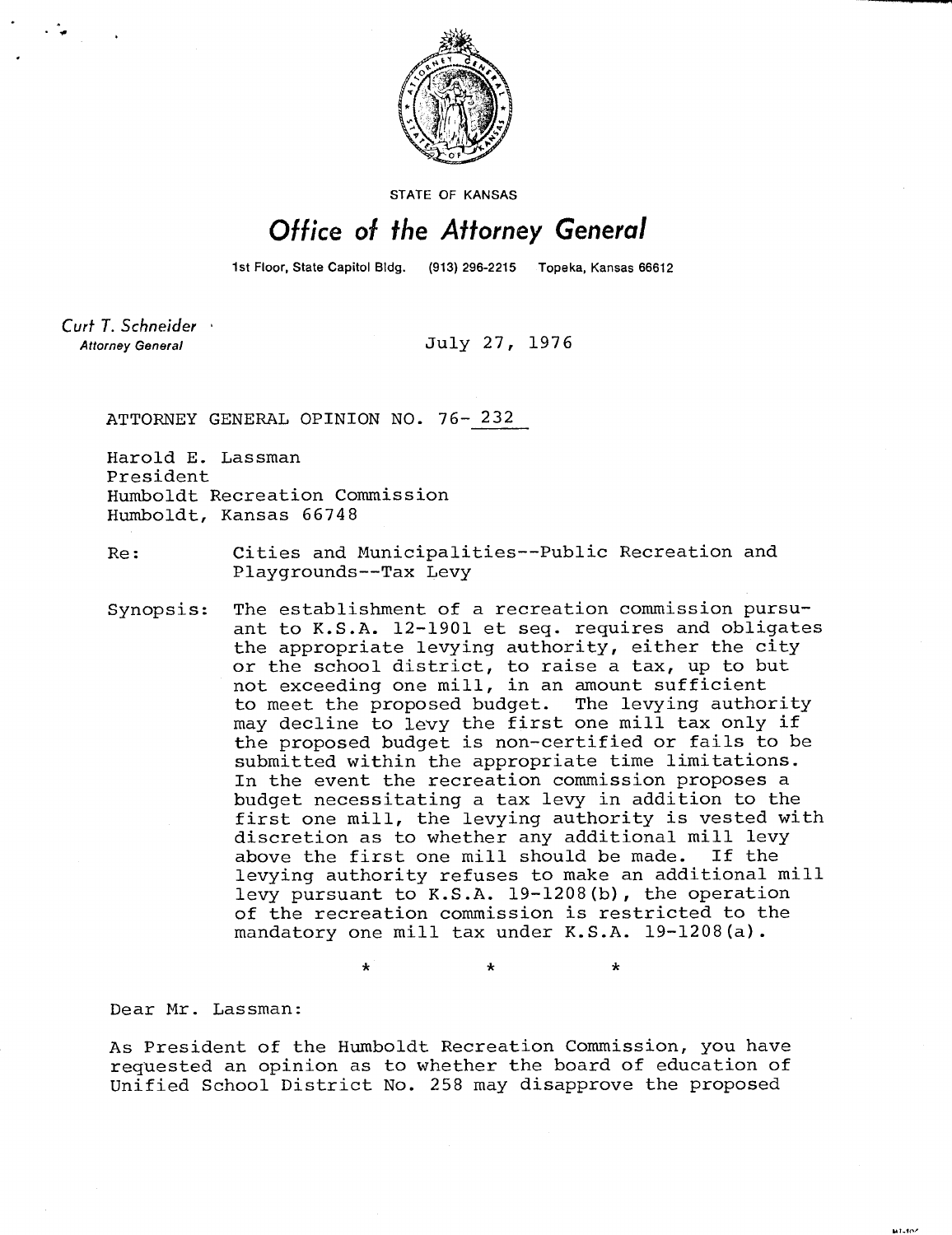

STATE OF KANSAS

## Office of the Attorney General

1st Floor, State Capitol Bldg. (913) 296-2215 Topeka, Kansas 66612

Curt T. Schneider **Attorney General** 

July 27, 1976

ATTORNEY GENERAL OPINION NO. 76- 232

Harold E. Lassman President Humboldt Recreation Commission Humboldt, Kansas 66748

Re: Cities and Municipalities--Public Recreation and Playgrounds--Tax Levy

Synopsis: The establishment of a recreation commission pursuant to K.S.A. 12-1901 et seq. requires and obligates the appropriate levying authority, either the city or the school district, to raise a tax, up to but not exceeding one mill, in an amount sufficient to meet the proposed budget. The levying authority may decline to levy the first one mill tax only if the proposed budget is non-certified or fails to be submitted within the appropriate time limitations. In the event the recreation commission proposes a budget necessitating a tax levy in addition to the first one mill, the levying authority is vested with discretion as to whether any additional mill levy above the first one mill should be made. If the levying authority refuses to make an additional mill levy pursuant to K.S.A. 19-1208(b), the operation of the recreation commission is restricted to the mandatory one mill tax under K.S.A. 19-1208(a).

÷

\*

MI-TOZ

Dear Mr. Lassman:

As President of the Humboldt Recreation Commission, you have requested an opinion as to whether the board of education of Unified School District No. 258 may disapprove the proposed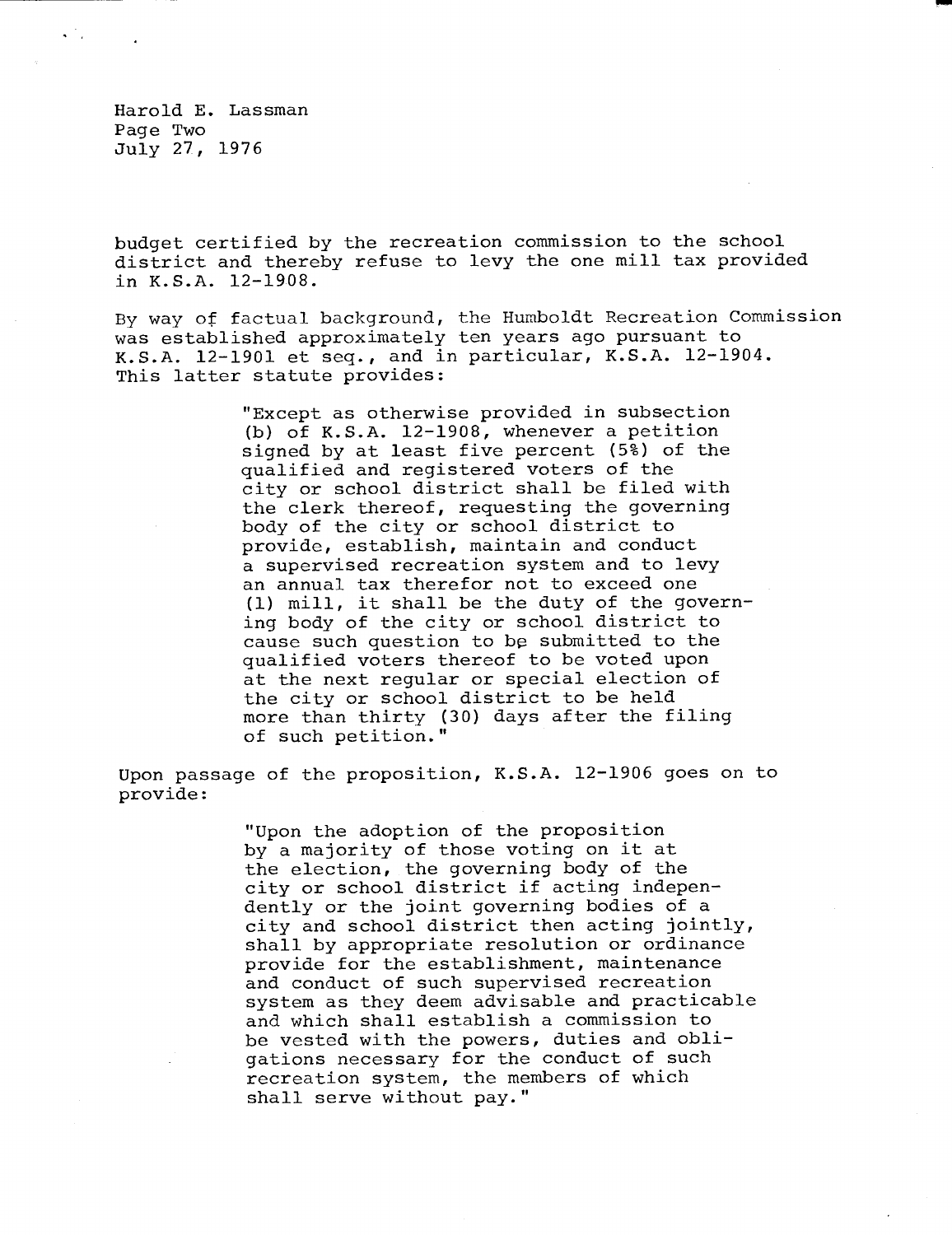Harold E. Lassman Page Two July 27, 1976

 $\sqrt{2}$  .

budget certified by the recreation commission to the school district and thereby refuse to levy the one mill tax provided in K.S.A. 12-1908.

By way of factual background, the Humboldt Recreation Commission was established approximately ten years ago pursuant to K.S.A. 12-1901 et seq., and in particular, K.S.A. 12-1904. This latter statute provides:

> "Except as otherwise provided in subsection (b) of K.S.A. 12-1908, whenever a petition signed by at least five percent (5%) of the qualified and registered voters of the city or school district shall be filed with the clerk thereof, requesting the governing body of the city or school district to provide, establish, maintain and conduct a supervised recreation system and to levy an annual tax therefor not to exceed one (1) mill, it shall be the duty of the governing body of the city or school district to cause such question to be submitted to the qualified voters thereof to be voted upon at the next regular or special election of the city or school district to be held more than thirty (30) days after the filing of such petition."

Upon passage of the proposition, K.S.A. 12-1906 goes on to provide:

> "Upon the adoption of the proposition by a majority of those voting on it at the election, the governing body of the city or school district if acting independently or the joint governing bodies of a city and school district then acting jointly, shall by appropriate resolution or ordinance provide for the establishment, maintenance and conduct of such supervised recreation system as they deem advisable and practicable and which shall establish a commission to be vested with the powers, duties and obligations necessary for the conduct of such recreation system, the members of which shall serve without pay."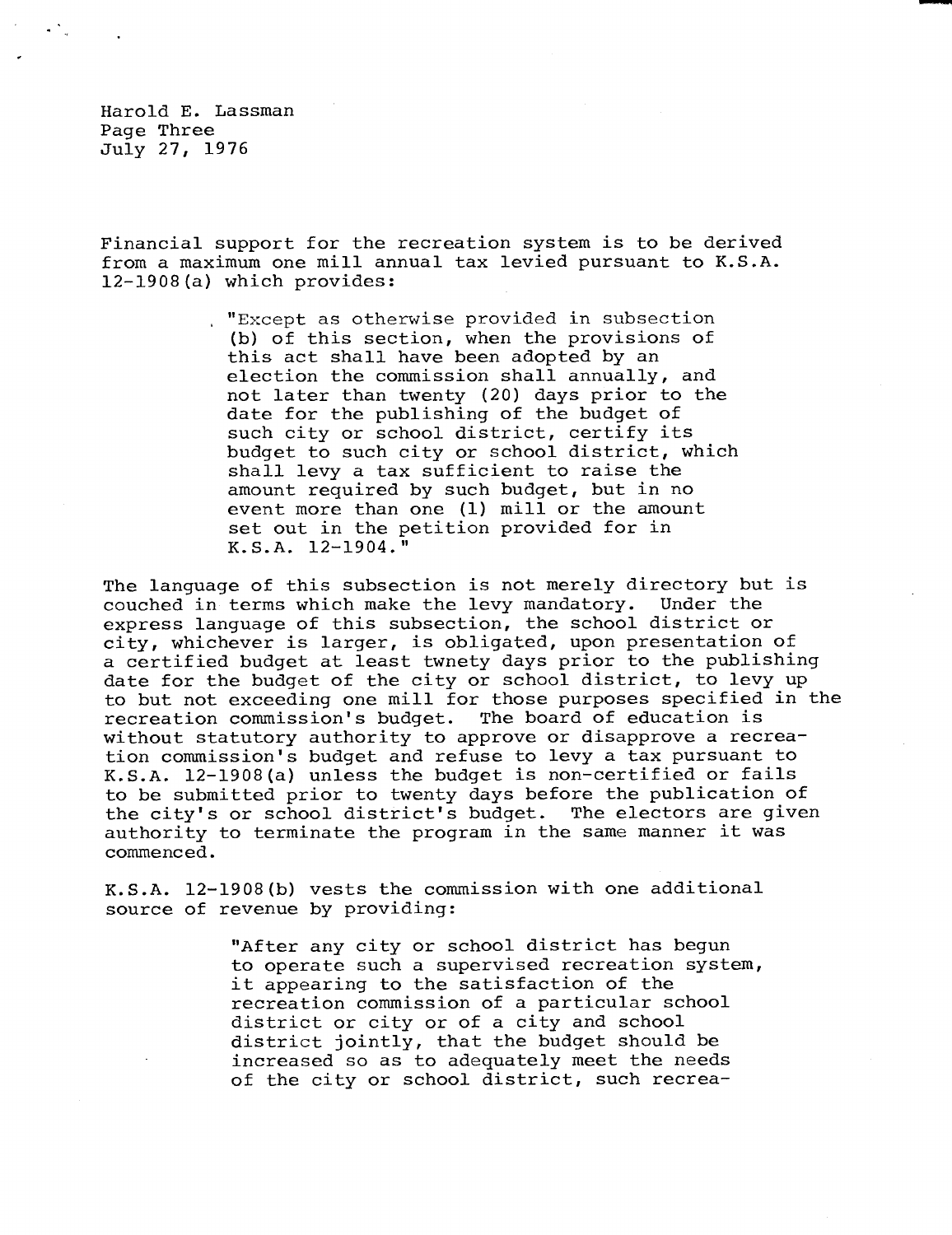Harold E. Lassman Page Three July 27, 1976

Financial support for the recreation system is to be derived from a maximum one mill annual tax levied pursuant to K.S.A. 12-1908(a) which provides:

> "Except as otherwise provided in subsection (b) of this section, when the provisions of this act shall have been adopted by an election the commission shall annually, and not later than twenty (20) days prior to the date for the publishing of the budget of such city or school district, certify its budget to such city or school district, which shall levy a tax sufficient to raise the amount required by such budget, but in no event more than one (1) mill or the amount set out in the petition provided for in K.S.A. 12-1904."

The language of this subsection is not merely directory but is couched in terms which make the levy mandatory. Under the express language of this subsection, the school district or city, whichever is larger, is obligated, upon presentation of a certified budget at least twnety days prior to the publishing date for the budget of the city or school district, to levy up to but not exceeding one mill for those purposes specified in the recreation commission's budget. The board of education is without statutory authority to approve or disapprove a recreation commission's budget and refuse to levy a tax pursuant to K.S.A. 12-1908(a) unless the budget is non-certified or fails to be submitted prior to twenty days before the publication of the city's or school district's budget. The electors are given authority to terminate the program in the same manner it was commenced.

K.S.A. 12-1908(b) vests the commission with one additional source of revenue by providing:

> "After any city or school district has begun to operate such a supervised recreation system, it appearing to the satisfaction of the recreation commission of a particular school district or city or of a city and school district jointly, that the budget should be increased so as to adequately meet the needs of the city or school district, such recrea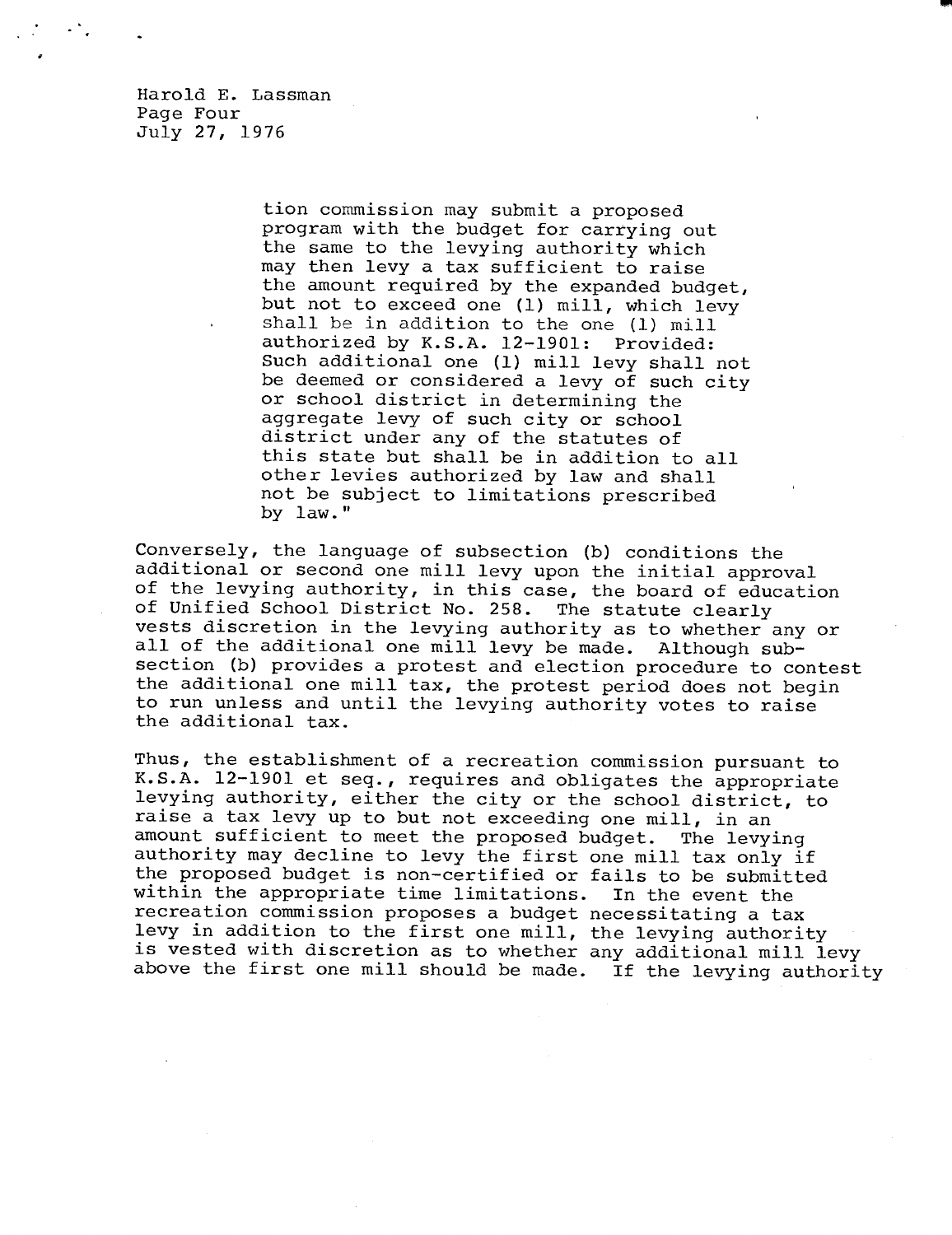Harold E. Lassman Page Four July 27, 1976

> tion commission may submit a proposed program with the budget for carrying out the same to the levying authority which may then levy a tax sufficient to raise the amount required by the expanded budget, but not to exceed one (1) mill, which levy shall be in addition to the one (1) mill authorized by K.S.A. 12-1901: Provided: Such additional one (1) mill levy shall not be deemed or considered a levy of such city or school district in determining the aggregate levy of such city or school district under any of the statutes of this state but shall be in addition to all other levies authorized by law and shall not be subject to limitations prescribed by law."

Conversely, the language of subsection (b) conditions the additional or second one mill levy upon the initial approval of the levying authority, in this case, the board of education of Unified School District No. 258. The statute clearly vests discretion in the levying authority as to whether any or all of the additional one mill levy be made. Although subsection (b) provides a protest and election procedure to contest the additional one mill tax, the protest period does not begin to run unless and until the levying authority votes to raise the additional tax.

Thus, the establishment of a recreation commission pursuant to K.S.A. 12-1901 et seq., requires and obligates the appropriate levying authority, either the city or the school district, to raise a tax levy up to but not exceeding one mill, in an amount sufficient to meet the proposed budget. The levying authority may decline to levy the first one mill tax only if the proposed budget is non-certified or fails to be submitted within the appropriate time limitations. In the event the recreation commission proposes a budget necessitating a tax levy in addition to the first one mill, the levying authority is vested with discretion as to whether any additional mill levy above the first one mill should be made. If the levying authority